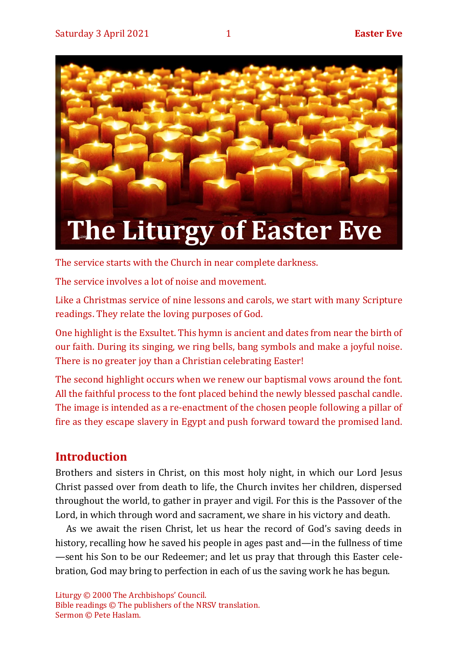

The service starts with the Church in near complete darkness.

The service involves a lot of noise and movement.

Like a Christmas service of nine lessons and carols, we start with many Scripture readings. They relate the loving purposes of God.

One highlight is the Exsultet. This hymn is ancient and dates from near the birth of our faith. During its singing, we ring bells, bang symbols and make a joyful noise. There is no greater joy than a Christian celebrating Easter!

The second highlight occurs when we renew our baptismal vows around the font. All the faithful process to the font placed behind the newly blessed paschal candle. The image is intended as a re-enactment of the chosen people following a pillar of fire as they escape slavery in Egypt and push forward toward the promised land.

# **Introduction**

Brothers and sisters in Christ, on this most holy night, in which our Lord Jesus Christ passed over from death to life, the Church invites her children, dispersed throughout the world, to gather in prayer and vigil. For this is the Passover of the Lord, in which through word and sacrament, we share in his victory and death.

As we await the risen Christ, let us hear the record of God's saving deeds in history, recalling how he saved his people in ages past and—in the fullness of time —sent his Son to be our Redeemer; and let us pray that through this Easter celebration, God may bring to perfection in each of us the saving work he has begun.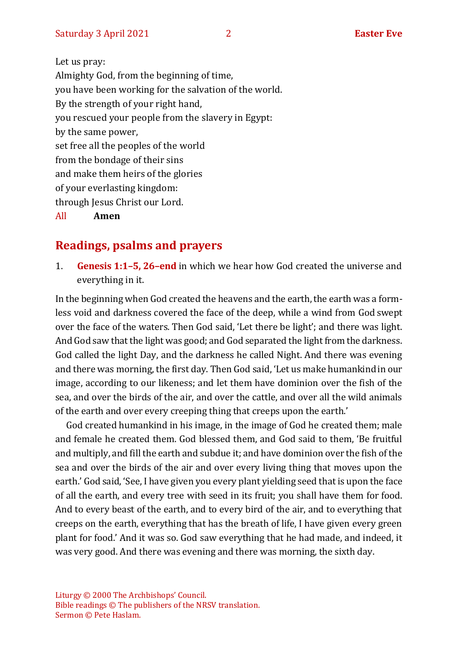Let us pray: Almighty God, from the beginning of time, you have been working for the salvation of the world. By the strength of your right hand, you rescued your people from the slavery in Egypt: by the same power, set free all the peoples of the world from the bondage of their sins and make them heirs of the glories of your everlasting kingdom: through Jesus Christ our Lord. All **Amen**

# **Readings, psalms and prayers**

1. **Genesis 1:1–5, 26–end** in which we hear how God created the universe and everything in it.

In the beginning when God created the heavens and the earth, the earth was a formless void and darkness covered the face of the deep, while a wind from God swept over the face of the waters. Then God said, 'Let there be light'; and there was light. And God saw that the light was good; and God separated the light from the darkness. God called the light Day, and the darkness he called Night. And there was evening and there was morning, the first day. Then God said, 'Let us make humankindin our image, according to our likeness; and let them have dominion over the fish of the sea, and over the birds of the air, and over the cattle, and over all the wild animals of the earth and over every creeping thing that creeps upon the earth.'

God created humankind in his image, in the image of God he created them; male and female he created them. God blessed them, and God said to them, 'Be fruitful and multiply, and fill the earth and subdue it; and have dominion over the fish of the sea and over the birds of the air and over every living thing that moves upon the earth.' God said, 'See, I have given you every plant yielding seed that is upon the face of all the earth, and every tree with seed in its fruit; you shall have them for food. And to every beast of the earth, and to every bird of the air, and to everything that creeps on the earth, everything that has the breath of life, I have given every green plant for food.' And it was so. God saw everything that he had made, and indeed, it was very good. And there was evening and there was morning, the sixth day.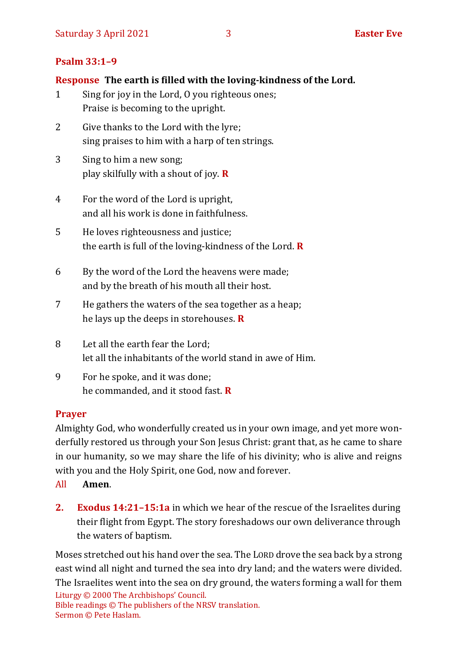# **Psalm 33:1–9**

# **Response The earth is filled with the loving-kindness of the Lord.**

- 1 Sing for joy in the Lord, O you righteous ones; Praise is becoming to the upright.
- 2 Give thanks to the Lord with the lyre; sing praises to him with a harp of ten strings.
- 3 Sing to him a new song; play skilfully with a shout of joy. **R**
- 4 For the word of the Lord is upright, and all his work is done in faithfulness.
- 5 He loves righteousness and justice; the earth is full of the loving-kindness of the Lord. **R**
- 6 By the word of the Lord the heavens were made; and by the breath of his mouth all their host.
- 7 He gathers the waters of the sea together as a heap; he lays up the deeps in storehouses. **R**
- 8 Let all the earth fear the Lord; let all the inhabitants of the world stand in awe of Him.
- 9 For he spoke, and it was done; he commanded, and it stood fast. **R**

# **Prayer**

Almighty God, who wonderfully created us in your own image, and yet more wonderfully restored us through your Son Jesus Christ: grant that, as he came to share in our humanity, so we may share the life of his divinity; who is alive and reigns with you and the Holy Spirit, one God, now and forever.

- All **Amen**.
- **2. Exodus 14:21–15:1a** in which we hear of the rescue of the Israelites during their flight from Egypt. The story foreshadows our own deliverance through the waters of baptism.

Liturgy © 2000 The Archbishops' Council. Bible readings © The publishers of the NRSV translation. Sermon © Pete Haslam. Moses stretched out his hand over the sea. The LORD drove the sea back by a strong east wind all night and turned the sea into dry land; and the waters were divided. The Israelites went into the sea on dry ground, the waters forming a wall for them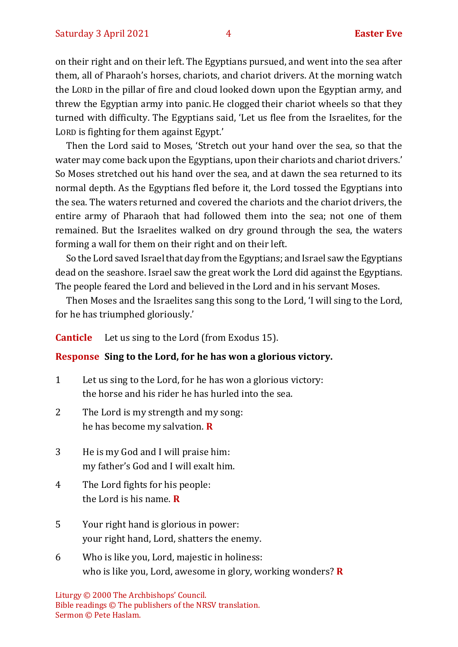on their right and on their left. The Egyptians pursued, and went into the sea after them, all of Pharaoh's horses, chariots, and chariot drivers. At the morning watch the LORD in the pillar of fire and cloud looked down upon the Egyptian army, and threw the Egyptian army into panic.He clogged their chariot wheels so that they turned with difficulty. The Egyptians said, 'Let us flee from the Israelites, for the LORD is fighting for them against Egypt.'

Then the Lord said to Moses, 'Stretch out your hand over the sea, so that the water may come back upon the Egyptians, upon their chariots and chariot drivers.' So Moses stretched out his hand over the sea, and at dawn the sea returned to its normal depth. As the Egyptians fled before it, the Lord tossed the Egyptians into the sea. The waters returned and covered the chariots and the chariot drivers, the entire army of Pharaoh that had followed them into the sea; not one of them remained. But the Israelites walked on dry ground through the sea, the waters forming a wall for them on their right and on their left.

So the Lord saved Israel that day from the Egyptians; and Israel saw the Egyptians dead on the seashore. Israel saw the great work the Lord did against the Egyptians. The people feared the Lord and believed in the Lord and in his servant Moses.

Then Moses and the Israelites sang this song to the Lord, 'I will sing to the Lord, for he has triumphed gloriously.'

**Canticle** Let us sing to the Lord (from Exodus 15).

#### **Response Sing to the Lord, for he has won a glorious victory.**

- 1 Let us sing to the Lord, for he has won a glorious victory: the horse and his rider he has hurled into the sea.
- 2 The Lord is my strength and my song: he has become my salvation. **R**
- 3 He is my God and I will praise him: my father's God and I will exalt him.
- 4 The Lord fights for his people: the Lord is his name. **R**
- 5 Your right hand is glorious in power: your right hand, Lord, shatters the enemy.
- 6 Who is like you, Lord, majestic in holiness: who is like you, Lord, awesome in glory, working wonders? **R**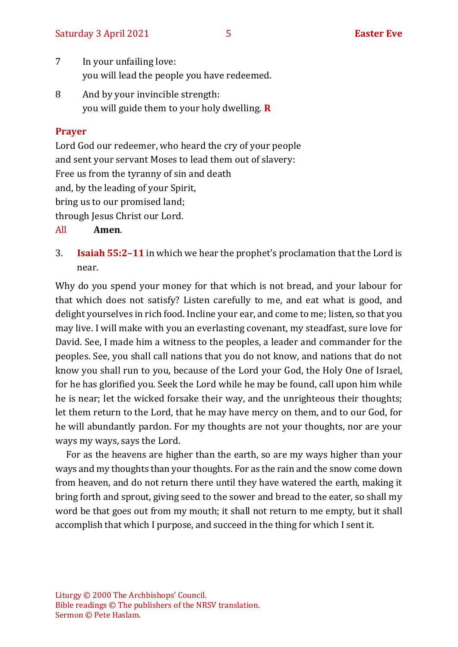- 7 In your unfailing love: you will lead the people you have redeemed.
- 8 And by your invincible strength: you will guide them to your holy dwelling. **R**

#### **Prayer**

Lord God our redeemer, who heard the cry of your people and sent your servant Moses to lead them out of slavery: Free us from the tyranny of sin and death and, by the leading of your Spirit, bring us to our promised land; through Jesus Christ our Lord.

# All **Amen**.

3. **Isaiah 55:2–11** in which we hear the prophet's proclamation that the Lord is near.

Why do you spend your money for that which is not bread, and your labour for that which does not satisfy? Listen carefully to me, and eat what is good, and delight yourselves in rich food. Incline your ear, and come to me; listen, so that you may live. I will make with you an everlasting covenant, my steadfast, sure love for David. See, I made him a witness to the peoples, a leader and commander for the peoples. See, you shall call nations that you do not know, and nations that do not know you shall run to you, because of the Lord your God, the Holy One of Israel, for he has glorified you. Seek the Lord while he may be found, call upon him while he is near; let the wicked forsake their way, and the unrighteous their thoughts; let them return to the Lord, that he may have mercy on them, and to our God, for he will abundantly pardon. For my thoughts are not your thoughts, nor are your ways my ways, says the Lord.

For as the heavens are higher than the earth, so are my ways higher than your ways and my thoughts than your thoughts. For as the rain and the snow come down from heaven, and do not return there until they have watered the earth, making it bring forth and sprout, giving seed to the sower and bread to the eater, so shall my word be that goes out from my mouth; it shall not return to me empty, but it shall accomplish that which I purpose, and succeed in the thing for which I sent it.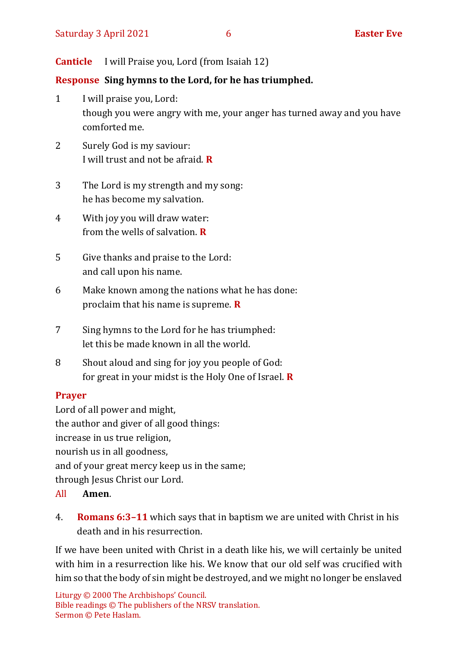#### **Canticle** I will Praise you, Lord (from Isaiah 12)

#### **Response Sing hymns to the Lord, for he has triumphed.**

- 1 I will praise you, Lord: though you were angry with me, your anger has turned away and you have comforted me.
- 2 Surely God is my saviour: I will trust and not be afraid. **R**
- 3 The Lord is my strength and my song: he has become my salvation.
- 4 With joy you will draw water: from the wells of salvation. **R**
- 5 Give thanks and praise to the Lord: and call upon his name.
- 6 Make known among the nations what he has done: proclaim that his name is supreme. **R**
- 7 Sing hymns to the Lord for he has triumphed: let this be made known in all the world.
- 8 Shout aloud and sing for joy you people of God: for great in your midst is the Holy One of Israel. **R**

#### **Prayer**

Lord of all power and might, the author and giver of all good things: increase in us true religion, nourish us in all goodness, and of your great mercy keep us in the same; through Jesus Christ our Lord.

- All **Amen**.
- 4. **Romans 6:3–11** which says that in baptism we are united with Christ in his death and in his resurrection.

If we have been united with Christ in a death like his, we will certainly be united with him in a resurrection like his. We know that our old self was crucified with him so that the body of sin might be destroyed, and we might no longer be enslaved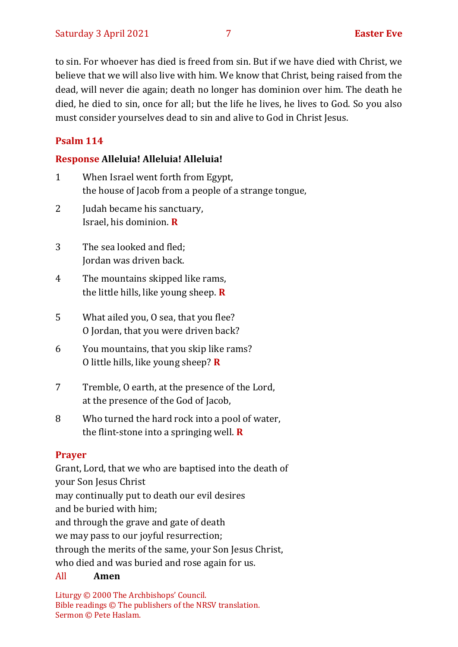to sin. For whoever has died is freed from sin. But if we have died with Christ, we believe that we will also live with him. We know that Christ, being raised from the dead, will never die again; death no longer has dominion over him. The death he died, he died to sin, once for all; but the life he lives, he lives to God. So you also must consider yourselves dead to sin and alive to God in Christ Jesus.

# **Psalm 114**

## **Response Alleluia! Alleluia! Alleluia!**

|               | When Israel went forth from Egypt,<br>the house of Jacob from a people of a strange tongue, |
|---------------|---------------------------------------------------------------------------------------------|
| $\mathcal{L}$ | Judah became his sanctuary,<br>Israel, his dominion. R                                      |
|               | The sea looked and fled;                                                                    |

- Jordan was driven back.
- 4 The mountains skipped like rams, the little hills, like young sheep. **R**
- 5 What ailed you, O sea, that you flee? O Jordan, that you were driven back?
- 6 You mountains, that you skip like rams? O little hills, like young sheep? **R**
- 7 Tremble, O earth, at the presence of the Lord, at the presence of the God of Jacob,
- 8 Who turned the hard rock into a pool of water, the flint-stone into a springing well. **R**

# **Prayer**

Grant, Lord, that we who are baptised into the death of your Son Jesus Christ may continually put to death our evil desires and be buried with him; and through the grave and gate of death we may pass to our joyful resurrection; through the merits of the same, your Son Jesus Christ, who died and was buried and rose again for us.

#### All **Amen**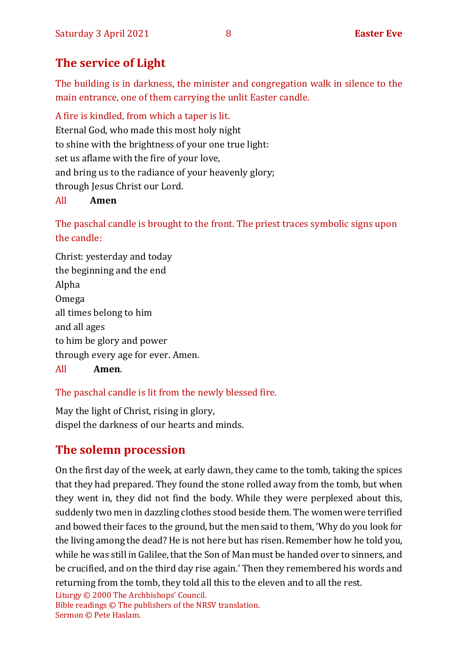# **The service of Light**

The building is in darkness, the minister and congregation walk in silence to the main entrance, one of them carrying the unlit Easter candle.

A fire is kindled, from which a taper is lit.

Eternal God, who made this most holy night to shine with the brightness of your one true light: set us aflame with the fire of your love, and bring us to the radiance of your heavenly glory; through Jesus Christ our Lord.

# All **Amen**

The paschal candle is brought to the front. The priest traces symbolic signs upon the candle:

Christ: yesterday and today the beginning and the end Alpha Omega all times belong to him and all ages to him be glory and power through every age for ever. Amen. All **Amen**.

The paschal candle is lit from the newly blessed fire.

May the light of Christ, rising in glory, dispel the darkness of our hearts and minds.

# **The solemn procession**

Liturgy © 2000 The Archbishops' Council. On the first day of the week, at early dawn, they came to the tomb, taking the spices that they had prepared. They found the stone rolled away from the tomb, but when they went in, they did not find the body. While they were perplexed about this, suddenly two men in dazzling clothes stood beside them. The women were terrified and bowed their faces to the ground, but the mensaid to them, 'Why do you look for the living among the dead? He is not here but has risen. Remember how he told you, while he was still in Galilee, that the Son of Man must be handed over to sinners, and be crucified, and on the third day rise again.' Then they remembered his words and returning from the tomb, they told all this to the eleven and to all the rest.

Bible readings © The publishers of the NRSV translation. Sermon © Pete Haslam.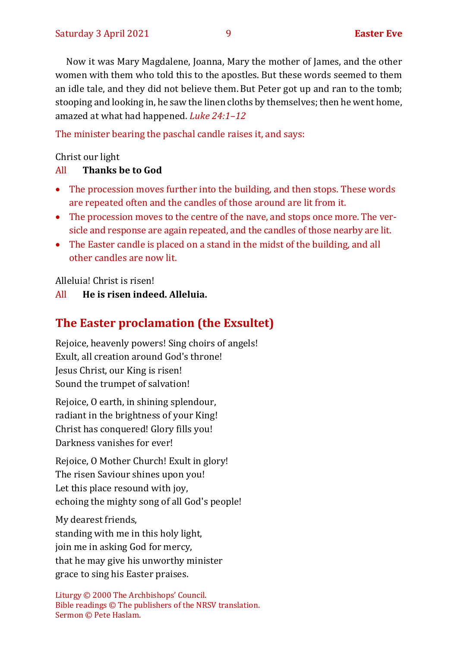Now it was Mary Magdalene, Joanna, Mary the mother of James, and the other women with them who told this to the apostles. But these words seemed to them an idle tale, and they did not believe them. But Peter got up and ran to the tomb; stooping and looking in, he saw the linen cloths by themselves; then he went home, amazed at what had happened. *Luke 24:1–12* 

The minister bearing the paschal candle raises it, and says:

Christ our light

#### All **Thanks be to God**

- The procession moves further into the building, and then stops. These words are repeated often and the candles of those around are lit from it.
- The procession moves to the centre of the nave, and stops once more. The versicle and response are again repeated, and the candles of those nearby are lit.
- The Easter candle is placed on a stand in the midst of the building, and all other candles are now lit.

Alleluia! Christ is risen!

All **He is risen indeed. Alleluia.**

# **The Easter proclamation (the Exsultet)**

Rejoice, heavenly powers! Sing choirs of angels! Exult, all creation around God's throne! Jesus Christ, our King is risen! Sound the trumpet of salvation!

Rejoice, O earth, in shining splendour, radiant in the brightness of your King! Christ has conquered! Glory fills you! Darkness vanishes for ever!

Rejoice, O Mother Church! Exult in glory! The risen Saviour shines upon you! Let this place resound with joy, echoing the mighty song of all God's people!

My dearest friends, standing with me in this holy light, join me in asking God for mercy, that he may give his unworthy minister grace to sing his Easter praises.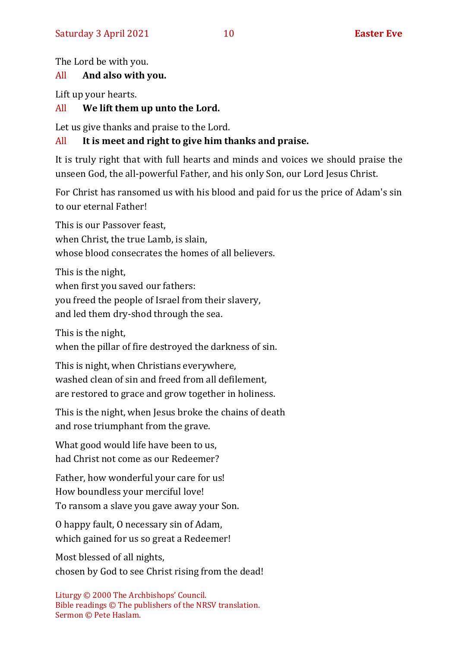The Lord be with you.

## All **And also with you.**

Lift up your hearts.

# All **We lift them up unto the Lord.**

Let us give thanks and praise to the Lord.

# All **It is meet and right to give him thanks and praise.**

It is truly right that with full hearts and minds and voices we should praise the unseen God, the all-powerful Father, and his only Son, our Lord Jesus Christ.

For Christ has ransomed us with his blood and paid for us the price of Adam's sin to our eternal Father!

This is our Passover feast, when Christ, the true Lamb, is slain, whose blood consecrates the homes of all believers.

This is the night,

when first you saved our fathers:

you freed the people of Israel from their slavery,

and led them dry-shod through the sea.

This is the night,

when the pillar of fire destroyed the darkness of sin.

This is night, when Christians everywhere, washed clean of sin and freed from all defilement, are restored to grace and grow together in holiness.

This is the night, when Jesus broke the chains of death and rose triumphant from the grave.

What good would life have been to us, had Christ not come as our Redeemer?

Father, how wonderful your care for us! How boundless your merciful love! To ransom a slave you gave away your Son.

O happy fault, O necessary sin of Adam, which gained for us so great a Redeemer!

Most blessed of all nights, chosen by God to see Christ rising from the dead!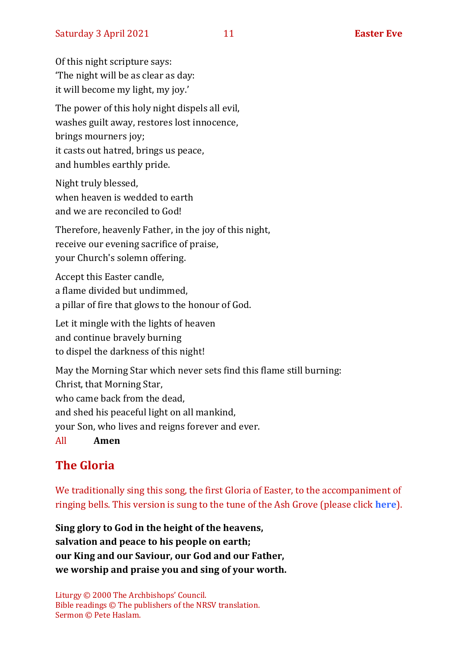Of this night scripture says: 'The night will be as clear as day: it will become my light, my joy.'

The power of this holy night dispels all evil, washes guilt away, restores lost innocence, brings mourners joy; it casts out hatred, brings us peace, and humbles earthly pride.

Night truly blessed, when heaven is wedded to earth and we are reconciled to God!

Therefore, heavenly Father, in the joy of this night, receive our evening sacrifice of praise, your Church's solemn offering.

Accept this Easter candle, a flame divided but undimmed, a pillar of fire that glows to the honour of God.

Let it mingle with the lights of heaven and continue bravely burning to dispel the darkness of this night!

May the Morning Star which never sets find this flame still burning: Christ, that Morning Star, who came back from the dead, and shed his peaceful light on all mankind, your Son, who lives and reigns forever and ever.

All **Amen**

# **The Gloria**

We traditionally sing this song, the first Gloria of Easter, to the accompaniment of ringing bells. This version is sung to the tune of the Ash Grove (please click **[here](https://hymnary.org/tune/ash_grove)**).

**Sing glory to God in the height of the heavens, salvation and peace to his people on earth; our King and our Saviour, our God and our Father, we worship and praise you and sing of your worth.**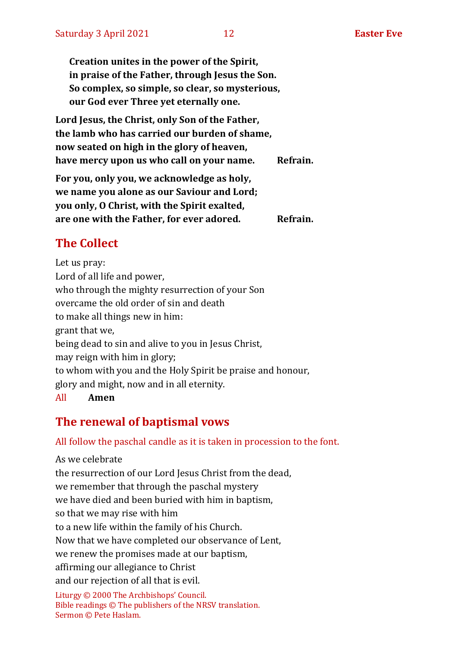**Creation unites in the power of the Spirit, in praise of the Father, through Jesus the Son. So complex, so simple, so clear, so mysterious, our God ever Three yet eternally one.**

**Lord Jesus, the Christ, only Son of the Father, the lamb who has carried our burden of shame, now seated on high in the glory of heaven, have mercy upon us who call on your name. Refrain.**

**For you, only you, we acknowledge as holy, we name you alone as our Saviour and Lord; you only, O Christ, with the Spirit exalted, are one with the Father, for ever adored. Refrain.**

# **The Collect**

Let us pray: Lord of all life and power, who through the mighty resurrection of your Son overcame the old order of sin and death to make all things new in him: grant that we, being dead to sin and alive to you in Jesus Christ, may reign with him in glory; to whom with you and the Holy Spirit be praise and honour, glory and might, now and in all eternity. All **Amen**

# **The renewal of baptismal vows**

#### All follow the paschal candle as it is taken in procession to the font.

Liturgy © 2000 The Archbishops' Council. Bible readings © The publishers of the NRSV translation. Sermon © Pete Haslam. As we celebrate the resurrection of our Lord Jesus Christ from the dead, we remember that through the paschal mystery we have died and been buried with him in baptism, so that we may rise with him to a new life within the family of his Church. Now that we have completed our observance of Lent, we renew the promises made at our baptism, affirming our allegiance to Christ and our rejection of all that is evil.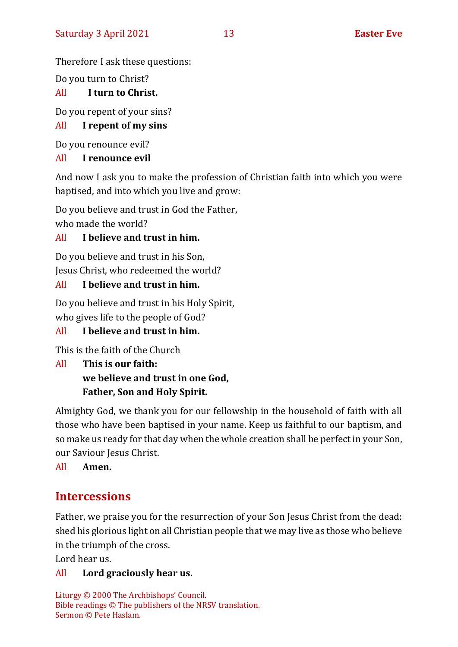Therefore I ask these questions:

Do you turn to Christ?

# All **I turn to Christ.**

Do you repent of your sins?

# All **I repent of my sins**

Do you renounce evil?

# All **I renounce evil**

And now I ask you to make the profession of Christian faith into which you were baptised, and into which you live and grow:

Do you believe and trust in God the Father, who made the world?

# All **I believe and trust in him.**

Do you believe and trust in his Son, Jesus Christ, who redeemed the world?

# All **I believe and trust in him.**

Do you believe and trust in his Holy Spirit, who gives life to the people of God?

# All **I believe and trust in him.**

This is the faith of the Church

All **This is our faith: we believe and trust in one God, Father, Son and Holy Spirit.**

Almighty God, we thank you for our fellowship in the household of faith with all those who have been baptised in your name. Keep us faithful to our baptism, and so make us ready for that day when the whole creation shall be perfect in your Son, our Saviour Jesus Christ.

All **Amen.**

# **Intercessions**

Father, we praise you for the resurrection of your Son Jesus Christ from the dead: shed his glorious light on all Christian people that we may live as those who believe in the triumph of the cross.

Lord hear us.

# All **Lord graciously hear us.**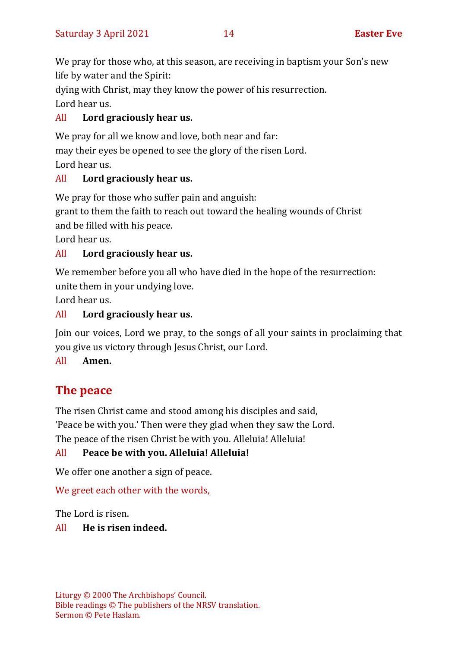We pray for those who, at this season, are receiving in baptism your Son's new life by water and the Spirit:

dying with Christ, may they know the power of his resurrection. Lord hear us.

# All **Lord graciously hear us.**

We pray for all we know and love, both near and far: may their eyes be opened to see the glory of the risen Lord. Lord hear us.

# All **Lord graciously hear us.**

We pray for those who suffer pain and anguish:

grant to them the faith to reach out toward the healing wounds of Christ and be filled with his peace.

Lord hear us.

# All **Lord graciously hear us.**

We remember before you all who have died in the hope of the resurrection: unite them in your undying love.

Lord hear us.

# All **Lord graciously hear us.**

Join our voices, Lord we pray, to the songs of all your saints in proclaiming that you give us victory through Jesus Christ, our Lord.

# All **Amen.**

# **The peace**

The risen Christ came and stood among his disciples and said,

'Peace be with you.' Then were they glad when they saw the Lord.

The peace of the risen Christ be with you. Alleluia! Alleluia!

# All **Peace be with you. Alleluia! Alleluia!**

We offer one another a sign of peace.

We greet each other with the words,

The Lord is risen.

# All **He is risen indeed.**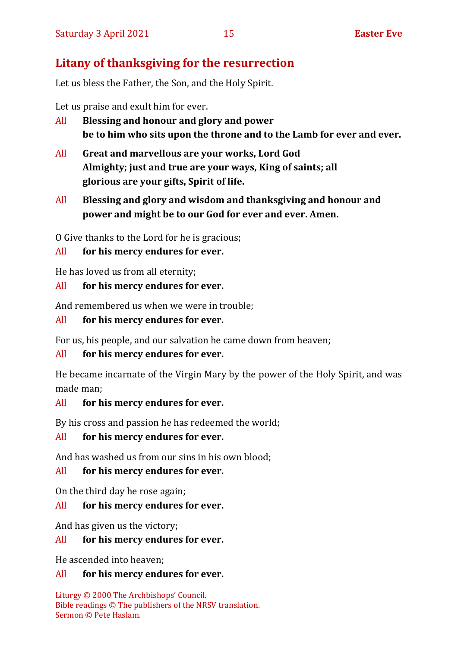# **Litany of thanksgiving for the resurrection**

Let us bless the Father, the Son, and the Holy Spirit.

Let us praise and exult him for ever.

- All **Blessing and honour and glory and power be to him who sits upon the throne and to the Lamb for ever and ever.**
- All **Great and marvellous are your works, Lord God Almighty; just and true are your ways, King of saints; all glorious are your gifts, Spirit of life.**
- All **Blessing and glory and wisdom and thanksgiving and honour and power and might be to our God for ever and ever. Amen.**

O Give thanks to the Lord for he is gracious;

# All **for his mercy endures for ever.**

He has loved us from all eternity;

# All **for his mercy endures for ever.**

And remembered us when we were in trouble;

# All **for his mercy endures for ever.**

For us, his people, and our salvation he came down from heaven;

# All **for his mercy endures for ever.**

He became incarnate of the Virgin Mary by the power of the Holy Spirit, and was made man;

# All **for his mercy endures for ever.**

By his cross and passion he has redeemed the world;

# All **for his mercy endures for ever.**

And has washed us from our sins in his own blood;

# All **for his mercy endures for ever.**

On the third day he rose again;

# All **for his mercy endures for ever.**

And has given us the victory;

# All **for his mercy endures for ever.**

He ascended into heaven;

# All **for his mercy endures for ever.**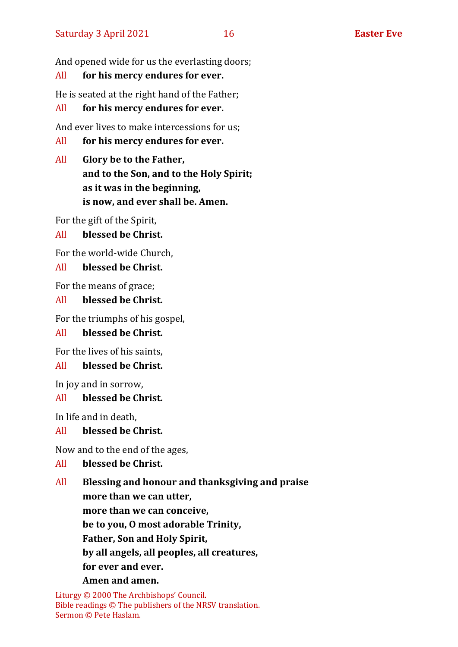And opened wide for us the everlasting doors;

## All **for his mercy endures for ever.**

He is seated at the right hand of the Father;

#### All **for his mercy endures for ever.**

And ever lives to make intercessions for us;

#### All **for his mercy endures for ever.**

All **Glory be to the Father, and to the Son, and to the Holy Spirit; as it was in the beginning, is now, and ever shall be. Amen.**

For the gift of the Spirit,

All **blessed be Christ.**

For the world-wide Church,

#### All **blessed be Christ.**

For the means of grace;

#### All **blessed be Christ.**

For the triumphs of his gospel,

# All **blessed be Christ.**

For the lives of his saints,

# All **blessed be Christ.**

In joy and in sorrow,

# All **blessed be Christ.**

In life and in death,

# All **blessed be Christ.**

Now and to the end of the ages,

# All **blessed be Christ.**

All **Blessing and honour and thanksgiving and praise more than we can utter, more than we can conceive, be to you, O most adorable Trinity, Father, Son and Holy Spirit, by all angels, all peoples, all creatures, for ever and ever. Amen and amen.**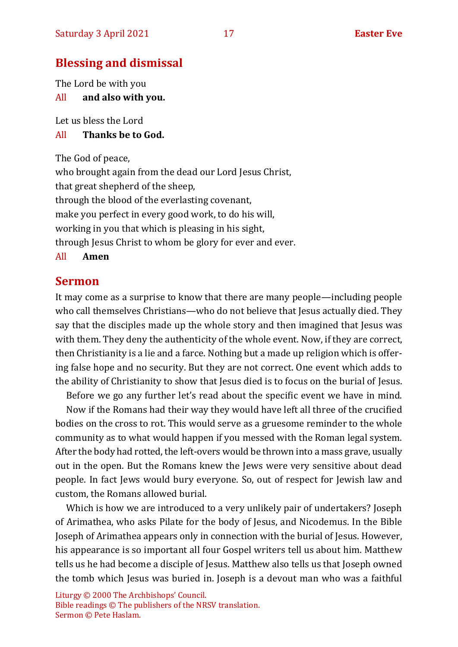# **Blessing and dismissal**

The Lord be with you

All **and also with you.**

Let us bless the Lord

#### All **Thanks be to God.**

The God of peace,

who brought again from the dead our Lord Jesus Christ, that great shepherd of the sheep, through the blood of the everlasting covenant, make you perfect in every good work, to do his will, working in you that which is pleasing in his sight, through Jesus Christ to whom be glory for ever and ever.

All **Amen**

# **Sermon**

It may come as a surprise to know that there are many people—including people who call themselves Christians—who do not believe that Jesus actually died. They say that the disciples made up the whole story and then imagined that Jesus was with them. They deny the authenticity of the whole event. Now, if they are correct, then Christianity is a lie and a farce. Nothing but a made up religion which is offering false hope and no security. But they are not correct. One event which adds to the ability of Christianity to show that Jesus died is to focus on the burial of Jesus.

Before we go any further let's read about the specific event we have in mind.

Now if the Romans had their way they would have left all three of the crucified bodies on the cross to rot. This would serve as a gruesome reminder to the whole community as to what would happen if you messed with the Roman legal system. After the body had rotted, the left-overs would be thrown into a mass grave, usually out in the open. But the Romans knew the Jews were very sensitive about dead people. In fact Jews would bury everyone. So, out of respect for Jewish law and custom, the Romans allowed burial.

Which is how we are introduced to a very unlikely pair of undertakers? Joseph of Arimathea, who asks Pilate for the body of Jesus, and Nicodemus. In the Bible Joseph of Arimathea appears only in connection with the burial of Jesus. However, his appearance is so important all four Gospel writers tell us about him. Matthew tells us he had become a disciple of Jesus. Matthew also tells us that Joseph owned the tomb which Jesus was buried in. Joseph is a devout man who was a faithful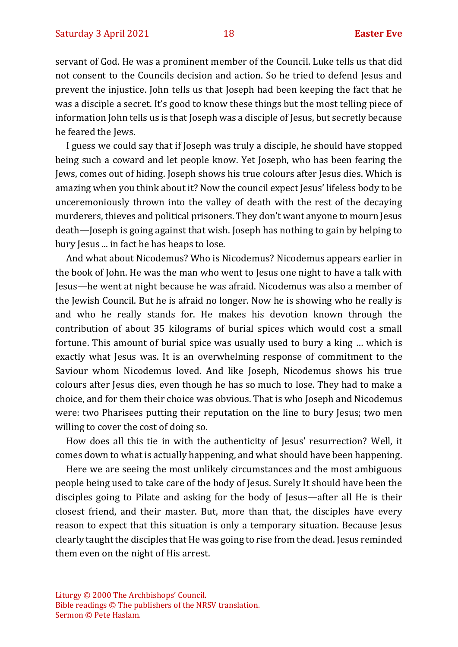servant of God. He was a prominent member of the Council. Luke tells us that did not consent to the Councils decision and action. So he tried to defend Jesus and prevent the injustice. John tells us that Joseph had been keeping the fact that he was a disciple a secret. It's good to know these things but the most telling piece of information John tells us is that Joseph was a disciple of Jesus, but secretly because he feared the Jews.

I guess we could say that if Joseph was truly a disciple, he should have stopped being such a coward and let people know. Yet Joseph, who has been fearing the Jews, comes out of hiding. Joseph shows his true colours after Jesus dies. Which is amazing when you think about it? Now the council expect Jesus' lifeless body to be unceremoniously thrown into the valley of death with the rest of the decaying murderers, thieves and political prisoners. They don't want anyone to mourn Jesus death—Joseph is going against that wish. Joseph has nothing to gain by helping to bury Jesus ... in fact he has heaps to lose.

And what about Nicodemus? Who is Nicodemus? Nicodemus appears earlier in the book of John. He was the man who went to Jesus one night to have a talk with Jesus—he went at night because he was afraid. Nicodemus was also a member of the Jewish Council. But he is afraid no longer. Now he is showing who he really is and who he really stands for. He makes his devotion known through the contribution of about 35 kilograms of burial spices which would cost a small fortune. This amount of burial spice was usually used to bury a king … which is exactly what Jesus was. It is an overwhelming response of commitment to the Saviour whom Nicodemus loved. And like Joseph, Nicodemus shows his true colours after Jesus dies, even though he has so much to lose. They had to make a choice, and for them their choice was obvious. That is who Joseph and Nicodemus were: two Pharisees putting their reputation on the line to bury Jesus; two men willing to cover the cost of doing so.

How does all this tie in with the authenticity of Jesus' resurrection? Well, it comes down to what is actually happening, and what should have been happening.

Here we are seeing the most unlikely circumstances and the most ambiguous people being used to take care of the body of Jesus. Surely It should have been the disciples going to Pilate and asking for the body of Jesus—after all He is their closest friend, and their master. But, more than that, the disciples have every reason to expect that this situation is only a temporary situation. Because Jesus clearly taught the disciples that He was going to rise from the dead. Jesus reminded them even on the night of His arrest.